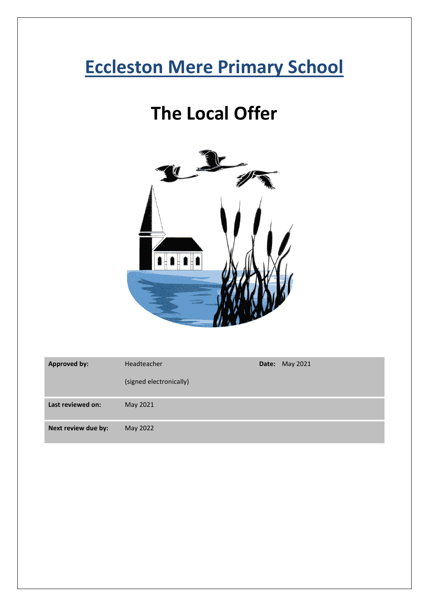# **Eccleston Mere Primary School**

# **The Local Offer**



| <b>Approved by:</b> | Headteacher             | <b>Date: May 2021</b> |
|---------------------|-------------------------|-----------------------|
|                     | (signed electronically) |                       |
| Last reviewed on:   | May 2021                |                       |
| Next review due by: | May 2022                |                       |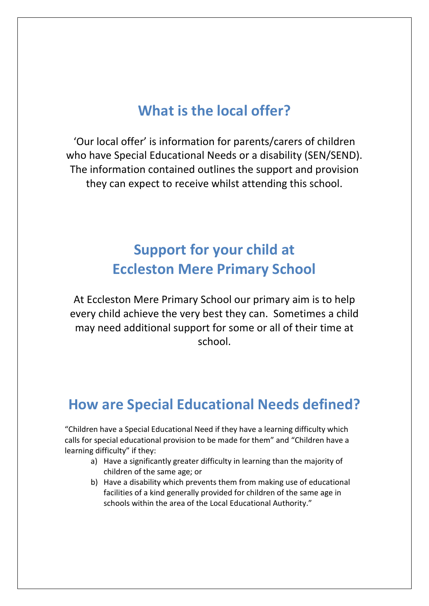#### **What is the local offer?**

'Our local offer' is information for parents/carers of children who have Special Educational Needs or a disability (SEN/SEND). The information contained outlines the support and provision they can expect to receive whilst attending this school.

# **Support for your child at Eccleston Mere Primary School**

At Eccleston Mere Primary School our primary aim is to help every child achieve the very best they can. Sometimes a child may need additional support for some or all of their time at school.

### **How are Special Educational Needs defined?**

"Children have a Special Educational Need if they have a learning difficulty which calls for special educational provision to be made for them" and "Children have a learning difficulty" if they:

- a) Have a significantly greater difficulty in learning than the majority of children of the same age; or
- b) Have a disability which prevents them from making use of educational facilities of a kind generally provided for children of the same age in schools within the area of the Local Educational Authority."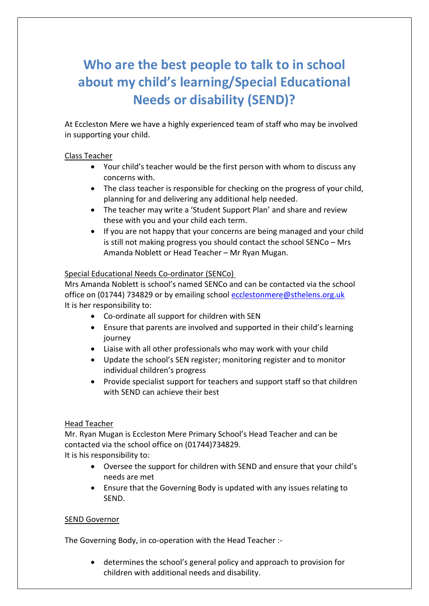# **Who are the best people to talk to in school about my child's learning/Special Educational Needs or disability (SEND)?**

At Eccleston Mere we have a highly experienced team of staff who may be involved in supporting your child.

#### Class Teacher

- Your child's teacher would be the first person with whom to discuss any concerns with.
- The class teacher is responsible for checking on the progress of your child, planning for and delivering any additional help needed.
- The teacher may write a 'Student Support Plan' and share and review these with you and your child each term.
- If you are not happy that your concerns are being managed and your child is still not making progress you should contact the school SENCo – Mrs Amanda Noblett or Head Teacher – Mr Ryan Mugan.

#### Special Educational Needs Co-ordinator (SENCo)

Mrs Amanda Noblett is school's named SENCo and can be contacted via the school office on (01744) 734829 or by emailing school [ecclestonmere@sthelens.org.uk](mailto:ecclestonmere@sthelens.org.uk) It is her responsibility to:

- Co-ordinate all support for children with SEN
- Ensure that parents are involved and supported in their child's learning journey
- Liaise with all other professionals who may work with your child
- Update the school's SEN register; monitoring register and to monitor individual children's progress
- Provide specialist support for teachers and support staff so that children with SEND can achieve their best

#### Head Teacher

Mr. Ryan Mugan is Eccleston Mere Primary School's Head Teacher and can be contacted via the school office on (01744)734829.

It is his responsibility to:

- Oversee the support for children with SEND and ensure that your child's needs are met
- Ensure that the Governing Body is updated with any issues relating to SEND.

#### SEND Governor

The Governing Body, in co-operation with the Head Teacher :-

• determines the school's general policy and approach to provision for children with additional needs and disability.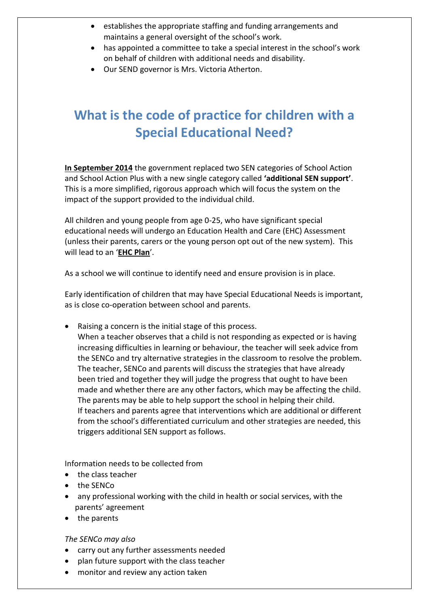- establishes the appropriate staffing and funding arrangements and maintains a general oversight of the school's work.
- has appointed a committee to take a special interest in the school's work on behalf of children with additional needs and disability.
- Our SEND governor is Mrs. Victoria Atherton.

# **What is the code of practice for children with a Special Educational Need?**

**In September 2014** the government replaced two SEN categories of School Action and School Action Plus with a new single category called **'additional SEN support'**. This is a more simplified, rigorous approach which will focus the system on the impact of the support provided to the individual child.

All children and young people from age 0-25, who have significant special educational needs will undergo an Education Health and Care (EHC) Assessment (unless their parents, carers or the young person opt out of the new system). This will lead to an '**EHC Plan**'.

As a school we will continue to identify need and ensure provision is in place.

Early identification of children that may have Special Educational Needs is important, as is close co-operation between school and parents.

• Raising a concern is the initial stage of this process. When a teacher observes that a child is not responding as expected or is having increasing difficulties in learning or behaviour, the teacher will seek advice from the SENCo and try alternative strategies in the classroom to resolve the problem. The teacher, SENCo and parents will discuss the strategies that have already been tried and together they will judge the progress that ought to have been made and whether there are any other factors, which may be affecting the child. The parents may be able to help support the school in helping their child. If teachers and parents agree that interventions which are additional or different from the school's differentiated curriculum and other strategies are needed, this triggers additional SEN support as follows.

Information needs to be collected from

- the class teacher
- the SENCo
- any professional working with the child in health or social services, with the parents' agreement
- the parents

*The SENCo may also*

- carry out any further assessments needed
- plan future support with the class teacher
- monitor and review any action taken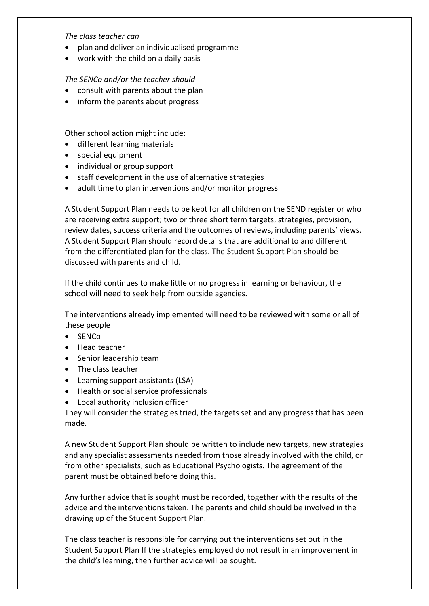*The class teacher can*

- plan and deliver an individualised programme
- work with the child on a daily basis

*The SENCo and/or the teacher should*

- consult with parents about the plan
- inform the parents about progress

Other school action might include:

- different learning materials
- special equipment
- individual or group support
- staff development in the use of alternative strategies
- adult time to plan interventions and/or monitor progress

A Student Support Plan needs to be kept for all children on the SEND register or who are receiving extra support; two or three short term targets, strategies, provision, review dates, success criteria and the outcomes of reviews, including parents' views. A Student Support Plan should record details that are additional to and different from the differentiated plan for the class. The Student Support Plan should be discussed with parents and child.

If the child continues to make little or no progress in learning or behaviour, the school will need to seek help from outside agencies.

The interventions already implemented will need to be reviewed with some or all of these people

- SENCo
- Head teacher
- Senior leadership team
- The class teacher
- Learning support assistants (LSA)
- Health or social service professionals
- Local authority inclusion officer

They will consider the strategies tried, the targets set and any progress that has been made.

A new Student Support Plan should be written to include new targets, new strategies and any specialist assessments needed from those already involved with the child, or from other specialists, such as Educational Psychologists. The agreement of the parent must be obtained before doing this.

Any further advice that is sought must be recorded, together with the results of the advice and the interventions taken. The parents and child should be involved in the drawing up of the Student Support Plan.

The class teacher is responsible for carrying out the interventions set out in the Student Support Plan If the strategies employed do not result in an improvement in the child's learning, then further advice will be sought.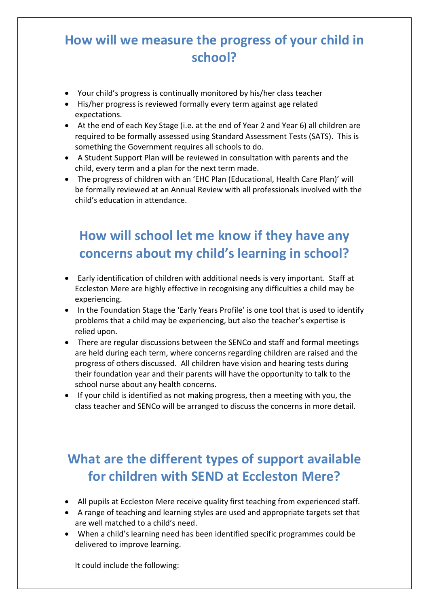### **How will we measure the progress of your child in school?**

- Your child's progress is continually monitored by his/her class teacher
- His/her progress is reviewed formally every term against age related expectations.
- At the end of each Key Stage (i.e. at the end of Year 2 and Year 6) all children are required to be formally assessed using Standard Assessment Tests (SATS). This is something the Government requires all schools to do.
- A Student Support Plan will be reviewed in consultation with parents and the child, every term and a plan for the next term made.
- The progress of children with an 'EHC Plan (Educational, Health Care Plan)' will be formally reviewed at an Annual Review with all professionals involved with the child's education in attendance.

# **How will school let me know if they have any concerns about my child's learning in school?**

- Early identification of children with additional needs is very important. Staff at Eccleston Mere are highly effective in recognising any difficulties a child may be experiencing.
- In the Foundation Stage the 'Early Years Profile' is one tool that is used to identify problems that a child may be experiencing, but also the teacher's expertise is relied upon.
- There are regular discussions between the SENCo and staff and formal meetings are held during each term, where concerns regarding children are raised and the progress of others discussed. All children have vision and hearing tests during their foundation year and their parents will have the opportunity to talk to the school nurse about any health concerns.
- If your child is identified as not making progress, then a meeting with you, the class teacher and SENCo will be arranged to discuss the concerns in more detail.

# **What are the different types of support available for children with SEND at Eccleston Mere?**

- All pupils at Eccleston Mere receive quality first teaching from experienced staff.
- A range of teaching and learning styles are used and appropriate targets set that are well matched to a child's need.
- When a child's learning need has been identified specific programmes could be delivered to improve learning.

It could include the following: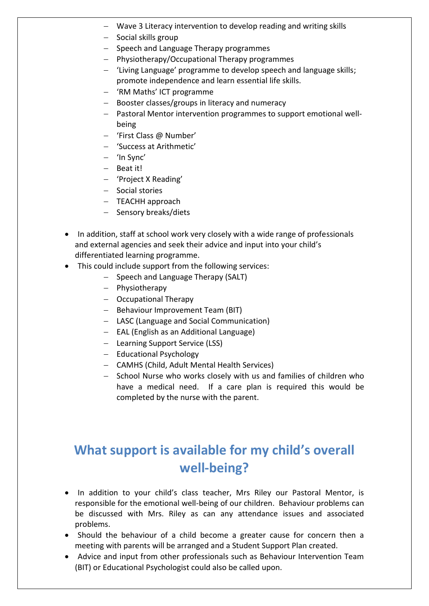- − Wave 3 Literacy intervention to develop reading and writing skills
- − Social skills group
- − Speech and Language Therapy programmes
- − Physiotherapy/Occupational Therapy programmes
- − 'Living Language' programme to develop speech and language skills; promote independence and learn essential life skills.
- − 'RM Maths' ICT programme
- − Booster classes/groups in literacy and numeracy
- − Pastoral Mentor intervention programmes to support emotional wellbeing
- − 'First Class @ Number'
- − 'Success at Arithmetic'
- − 'In Sync'
- − Beat it!
- − 'Project X Reading'
- − Social stories
- − TEACHH approach
- − Sensory breaks/diets
- In addition, staff at school work very closely with a wide range of professionals and external agencies and seek their advice and input into your child's differentiated learning programme.
- This could include support from the following services:
	- − Speech and Language Therapy (SALT)
	- − Physiotherapy
	- − Occupational Therapy
	- − Behaviour Improvement Team (BIT)
	- − LASC (Language and Social Communication)
	- − EAL (English as an Additional Language)
	- − Learning Support Service (LSS)
	- − Educational Psychology
	- − CAMHS (Child, Adult Mental Health Services)
	- − School Nurse who works closely with us and families of children who have a medical need. If a care plan is required this would be completed by the nurse with the parent.

### **What support is available for my child's overall well-being?**

- In addition to your child's class teacher, Mrs Riley our Pastoral Mentor, is responsible for the emotional well-being of our children. Behaviour problems can be discussed with Mrs. Riley as can any attendance issues and associated problems.
- Should the behaviour of a child become a greater cause for concern then a meeting with parents will be arranged and a Student Support Plan created.
- Advice and input from other professionals such as Behaviour Intervention Team (BIT) or Educational Psychologist could also be called upon.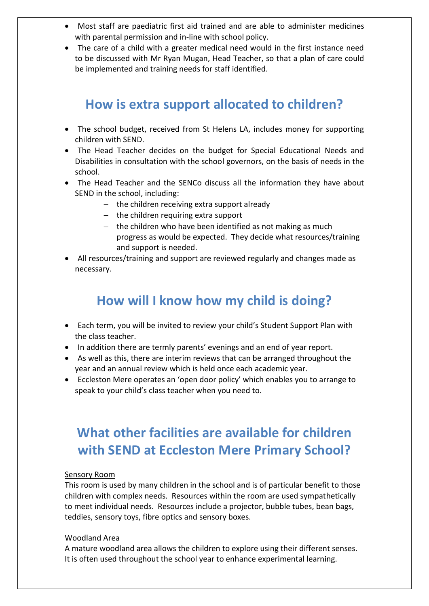- Most staff are paediatric first aid trained and are able to administer medicines with parental permission and in-line with school policy.
- The care of a child with a greater medical need would in the first instance need to be discussed with Mr Ryan Mugan, Head Teacher, so that a plan of care could be implemented and training needs for staff identified.

#### **How is extra support allocated to children?**

- The school budget, received from St Helens LA, includes money for supporting children with SEND.
- The Head Teacher decides on the budget for Special Educational Needs and Disabilities in consultation with the school governors, on the basis of needs in the school.
- The Head Teacher and the SENCo discuss all the information they have about SEND in the school, including:
	- − the children receiving extra support already
	- − the children requiring extra support
	- − the children who have been identified as not making as much progress as would be expected. They decide what resources/training and support is needed.
- All resources/training and support are reviewed regularly and changes made as necessary.

#### **How will I know how my child is doing?**

- Each term, you will be invited to review your child's Student Support Plan with the class teacher.
- In addition there are termly parents' evenings and an end of year report.
- As well as this, there are interim reviews that can be arranged throughout the year and an annual review which is held once each academic year.
- Eccleston Mere operates an 'open door policy' which enables you to arrange to speak to your child's class teacher when you need to.

### **What other facilities are available for children with SEND at Eccleston Mere Primary School?**

#### Sensory Room

This room is used by many children in the school and is of particular benefit to those children with complex needs. Resources within the room are used sympathetically to meet individual needs. Resources include a projector, bubble tubes, bean bags, teddies, sensory toys, fibre optics and sensory boxes.

#### Woodland Area

A mature woodland area allows the children to explore using their different senses. It is often used throughout the school year to enhance experimental learning.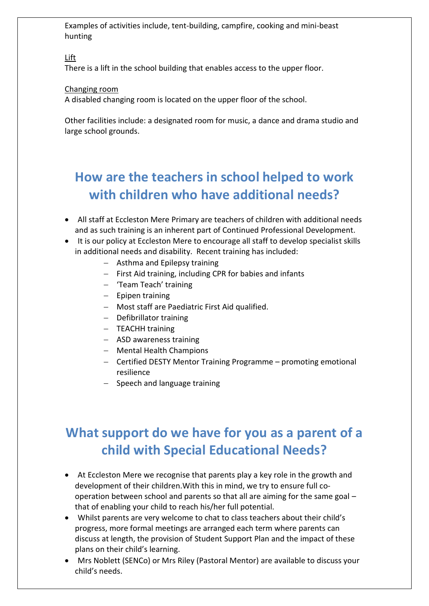Examples of activities include, tent-building, campfire, cooking and mini-beast hunting

Lift

There is a lift in the school building that enables access to the upper floor.

#### Changing room

A disabled changing room is located on the upper floor of the school.

Other facilities include: a designated room for music, a dance and drama studio and large school grounds.

### **How are the teachers in school helped to work with children who have additional needs?**

- All staff at Eccleston Mere Primary are teachers of children with additional needs and as such training is an inherent part of Continued Professional Development.
- It is our policy at Eccleston Mere to encourage all staff to develop specialist skills in additional needs and disability. Recent training has included:
	- − Asthma and Epilepsy training
	- − First Aid training, including CPR for babies and infants
	- − 'Team Teach' training
	- − Epipen training
	- − Most staff are Paediatric First Aid qualified.
	- − Defibrillator training
	- − TEACHH training
	- − ASD awareness training
	- − Mental Health Champions
	- − Certified DESTY Mentor Training Programme promoting emotional resilience
	- − Speech and language training

### **What support do we have for you as a parent of a child with Special Educational Needs?**

- At Eccleston Mere we recognise that parents play a key role in the growth and development of their children.With this in mind, we try to ensure full cooperation between school and parents so that all are aiming for the same goal – that of enabling your child to reach his/her full potential.
- Whilst parents are very welcome to chat to class teachers about their child's progress, more formal meetings are arranged each term where parents can discuss at length, the provision of Student Support Plan and the impact of these plans on their child's learning.
- Mrs Noblett (SENCo) or Mrs Riley (Pastoral Mentor) are available to discuss your child's needs.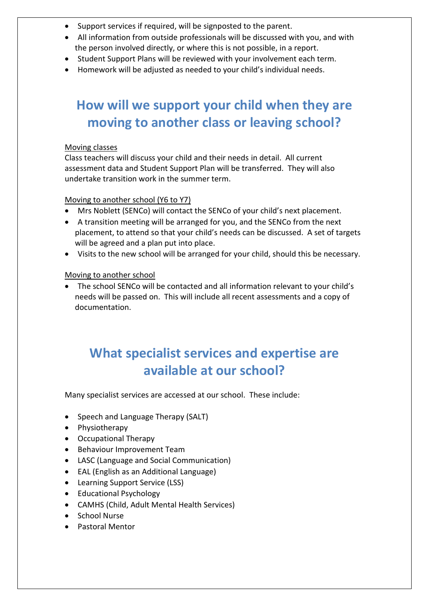- Support services if required, will be signposted to the parent.
- All information from outside professionals will be discussed with you, and with the person involved directly, or where this is not possible, in a report.
- Student Support Plans will be reviewed with your involvement each term.
- Homework will be adjusted as needed to your child's individual needs.

### **How will we support your child when they are moving to another class or leaving school?**

#### Moving classes

Class teachers will discuss your child and their needs in detail. All current assessment data and Student Support Plan will be transferred. They will also undertake transition work in the summer term.

#### Moving to another school (Y6 to Y7)

- Mrs Noblett (SENCo) will contact the SENCo of your child's next placement.
- A transition meeting will be arranged for you, and the SENCo from the next placement, to attend so that your child's needs can be discussed. A set of targets will be agreed and a plan put into place.
- Visits to the new school will be arranged for your child, should this be necessary.

#### Moving to another school

• The school SENCo will be contacted and all information relevant to your child's needs will be passed on. This will include all recent assessments and a copy of documentation.

### **What specialist services and expertise are available at our school?**

Many specialist services are accessed at our school. These include:

- Speech and Language Therapy (SALT)
- Physiotherapy
- Occupational Therapy
- Behaviour Improvement Team
- LASC (Language and Social Communication)
- EAL (English as an Additional Language)
- Learning Support Service (LSS)
- Educational Psychology
- CAMHS (Child, Adult Mental Health Services)
- School Nurse
- Pastoral Mentor